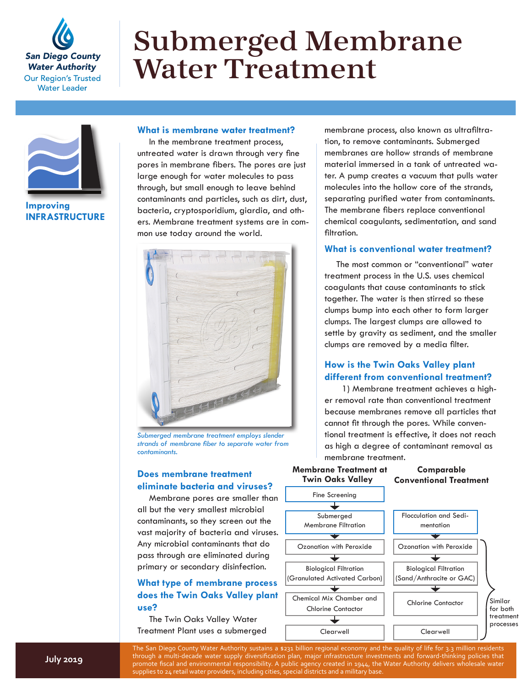

# Submerged Membrane Water Treatment



**Improving INFRASTRUCTURE**

#### **What is membrane water treatment?**

In the membrane treatment process, untreated water is drawn through very fine pores in membrane fibers. The pores are just large enough for water molecules to pass through, but small enough to leave behind contaminants and particles, such as dirt, dust, bacteria, cryptosporidium, giardia, and others. Membrane treatment systems are in common use today around the world.



*Submerged membrane treatment employs slender strands of membrane fiber to separate water from contaminants.*

# **Does membrane treatment eliminate bacteria and viruses?**

Membrane pores are smaller than all but the very smallest microbial contaminants, so they screen out the vast majority of bacteria and viruses. Any microbial contaminants that do pass through are eliminated during primary or secondary disinfection.

# **What type of membrane process does the Twin Oaks Valley plant use?**

The Twin Oaks Valley Water Treatment Plant uses a submerged membrane process, also known as ultrafiltration, to remove contaminants. Submerged membranes are hollow strands of membrane material immersed in a tank of untreated water. A pump creates a vacuum that pulls water molecules into the hollow core of the strands, separating purified water from contaminants. The membrane fibers replace conventional chemical coagulants, sedimentation, and sand filtration.

### **What is conventional water treatment?**

The most common or "conventional" water treatment process in the U.S. uses chemical coagulants that cause contaminants to stick together. The water is then stirred so these clumps bump into each other to form larger clumps. The largest clumps are allowed to settle by gravity as sediment, and the smaller clumps are removed by a media filter.

## **How is the Twin Oaks Valley plant different from conventional treatment?**

1) Membrane treatment achieves a higher removal rate than conventional treatment because membranes remove all particles that cannot fit through the pores. While conventional treatment is effective, it does not reach as high a degree of contaminant removal as membrane treatment.

#### **Membrane Treatment at Twin Oaks Valley**

**Comparable Conventional Treatment**



The San Diego County Water Authority sustains a \$231 billion regional economy and the quality of life for 3.3 million residents through a multi-decade water supply diversification plan, major infrastructure investments and forward-thinking policies that promote fiscal and environmental responsibility. A public agency created in 1944, the Water Authority delivers wholesale water supplies to 24 retail water providers, including cities, special districts and a military base.